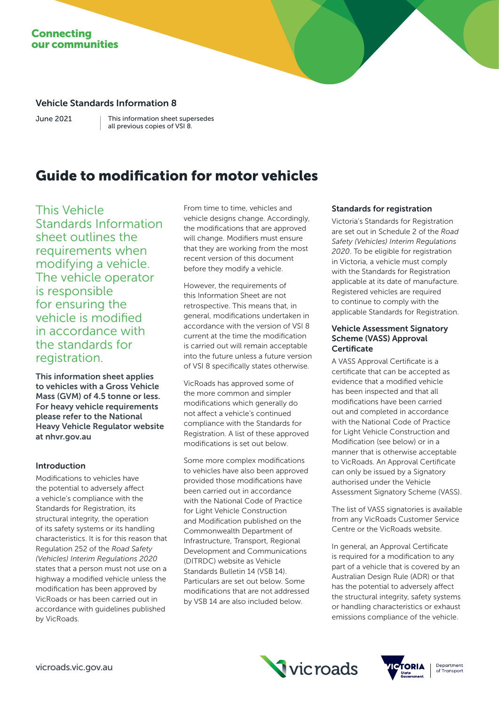# **Connecting** our communities

# Vehicle Standards Information 8

June 2021

This information sheet supersedes all previous copies of VSI 8.

# Guide to modification for motor vehicles

This Vehicle Standards Information sheet outlines the requirements when modifying a vehicle. The vehicle operator is responsible for ensuring the vehicle is modified in accordance with the standards for registration.

This information sheet applies to vehicles with a Gross Vehicle Mass (GVM) of 4.5 tonne or less. For heavy vehicle requirements please refer to the National Heavy Vehicle Regulator website at nhvr.gov.au

## Introduction

Modifications to vehicles have the potential to adversely affect a vehicle's compliance with the Standards for Registration, its structural integrity, the operation of its safety systems or its handling characteristics. It is for this reason that Regulation 252 of the *Road Safety (Vehicles) Interim Regulations 2020* states that a person must not use on a highway a modified vehicle unless the modification has been approved by VicRoads or has been carried out in accordance with guidelines published by VicRoads.

From time to time, vehicles and vehicle designs change. Accordingly, the modifications that are approved will change. Modifiers must ensure that they are working from the most recent version of this document before they modify a vehicle.

However, the requirements of this Information Sheet are not retrospective. This means that, in general, modifications undertaken in accordance with the version of VSI 8 current at the time the modification is carried out will remain acceptable into the future unless a future version of VSI 8 specifically states otherwise.

VicRoads has approved some of the more common and simpler modifications which generally do not affect a vehicle's continued compliance with the Standards for Registration. A list of these approved modifications is set out below.

Some more complex modifications to vehicles have also been approved provided those modifications have been carried out in accordance with the National Code of Practice for Light Vehicle Construction and Modification published on the Commonwealth Department of Infrastructure, Transport, Regional Development and Communications (DITRDC) website as Vehicle Standards Bulletin 14 (VSB 14). Particulars are set out below. Some modifications that are not addressed by VSB 14 are also included below.

# Standards for registration

Victoria's Standards for Registration are set out in Schedule 2 of the *Road Safety (Vehicles) Interim Regulations 2020*. To be eligible for registration in Victoria, a vehicle must comply with the Standards for Registration applicable at its date of manufacture. Registered vehicles are required to continue to comply with the applicable Standards for Registration.

## Vehicle Assessment Signatory Scheme (VASS) Approval **Certificate**

A VASS Approval Certificate is a certificate that can be accepted as evidence that a modified vehicle has been inspected and that all modifications have been carried out and completed in accordance with the National Code of Practice for Light Vehicle Construction and Modification (see below) or in a manner that is otherwise acceptable to VicRoads. An Approval Certificate can only be issued by a Signatory authorised under the Vehicle Assessment Signatory Scheme (VASS).

The list of VASS signatories is available from any VicRoads Customer Service Centre or the VicRoads website.

In general, an Approval Certificate is required for a modification to any part of a vehicle that is covered by an Australian Design Rule (ADR) or that has the potential to adversely affect the structural integrity, safety systems or handling characteristics or exhaust emissions compliance of the vehicle.



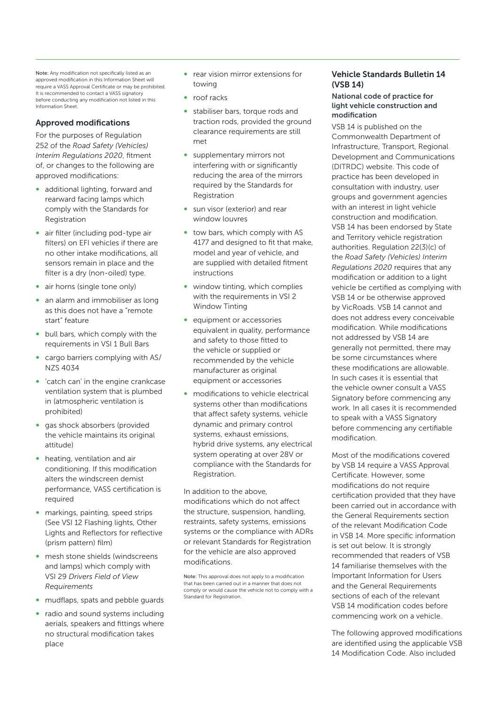Note: Any modification not specifically listed as an approved modification in this Information Sheet will require a VASS Approval Certificate or may be prohibited. It is recommended to contact a VASS signator before conducting any modification not listed in this Information Sheet.

# Approved modifications

For the purposes of Regulation 252 of the *Road Safety (Vehicles) Interim Regulations 2020*, fitment of, or changes to the following are approved modifications:

- ∞ additional lighting, forward and rearward facing lamps which comply with the Standards for Registration
- ∞ air filter (including pod-type air filters) on EFI vehicles if there are no other intake modifications, all sensors remain in place and the filter is a dry (non-oiled) type.
- air horns (single tone only)
- an alarm and immobiliser as long as this does not have a "remote start" feature
- ∞ bull bars, which comply with the requirements in VSI 1 Bull Bars
- cargo barriers complying with AS/ NZS 4034
- ∞ 'catch can' in the engine crankcase ventilation system that is plumbed in (atmospheric ventilation is prohibited)
- ∞ gas shock absorbers (provided the vehicle maintains its original attitude)
- heating, ventilation and air conditioning. If this modification alters the windscreen demist performance, VASS certification is required
- ∞ markings, painting, speed strips (See VSI 12 Flashing lights, Other Lights and Reflectors for reflective (prism pattern) film)
- mesh stone shields (windscreens and lamps) which comply with VSI 29 *Drivers Field of View Requirements*
- ∞ mudflaps, spats and pebble guards
- radio and sound systems including aerials, speakers and fittings where no structural modification takes place
- ∞ rear vision mirror extensions for towing
- ∞ roof racks
- stabiliser bars, torque rods and traction rods, provided the ground clearance requirements are still met
- supplementary mirrors not interfering with or significantly reducing the area of the mirrors required by the Standards for Registration
- sun visor (exterior) and rear window louvres
- ∞ tow bars, which comply with AS 4177 and designed to fit that make, model and year of vehicle, and are supplied with detailed fitment instructions
- window tinting, which complies with the requirements in VSI 2 Window Tinting
- equipment or accessories equivalent in quality, performance and safety to those fitted to the vehicle or supplied or recommended by the vehicle manufacturer as original equipment or accessories
- modifications to vehicle electrical systems other than modifications that affect safety systems, vehicle dynamic and primary control systems, exhaust emissions, hybrid drive systems, any electrical system operating at over 28V or compliance with the Standards for Registration.

In addition to the above, modifications which do not affect the structure, suspension, handling, restraints, safety systems, emissions systems or the compliance with ADRs or relevant Standards for Registration for the vehicle are also approved modifications.

Note: This approval does not apply to a modification that has been carried out in a manner that does not comply or would cause the vehicle not to comply with a Standard for Registration.

## Vehicle Standards Bulletin 14  $(NSR 14)$

### National code of practice for light vehicle construction and modification

VSB 14 is published on the Commonwealth Department of Infrastructure, Transport, Regional Development and Communications (DITRDC) website. This code of practice has been developed in consultation with industry, user groups and government agencies with an interest in light vehicle construction and modification. VSB 14 has been endorsed by State and Territory vehicle registration authorities. Regulation 22(3)(c) of the *Road Safety (Vehicles) Interim Regulations 2020* requires that any modification or addition to a light vehicle be certified as complying with VSB 14 or be otherwise approved by VicRoads. VSB 14 cannot and does not address every conceivable modification. While modifications not addressed by VSB 14 are generally not permitted, there may be some circumstances where these modifications are allowable. In such cases it is essential that the vehicle owner consult a VASS Signatory before commencing any work. In all cases it is recommended to speak with a VASS Signatory before commencing any certifiable modification.

Most of the modifications covered by VSB 14 require a VASS Approval Certificate. However, some modifications do not require certification provided that they have been carried out in accordance with the General Requirements section of the relevant Modification Code in VSB 14. More specific information is set out below. It is strongly recommended that readers of VSB 14 familiarise themselves with the Important Information for Users and the General Requirements sections of each of the relevant VSB 14 modification codes before commencing work on a vehicle.

The following approved modifications are identified using the applicable VSB 14 Modification Code. Also included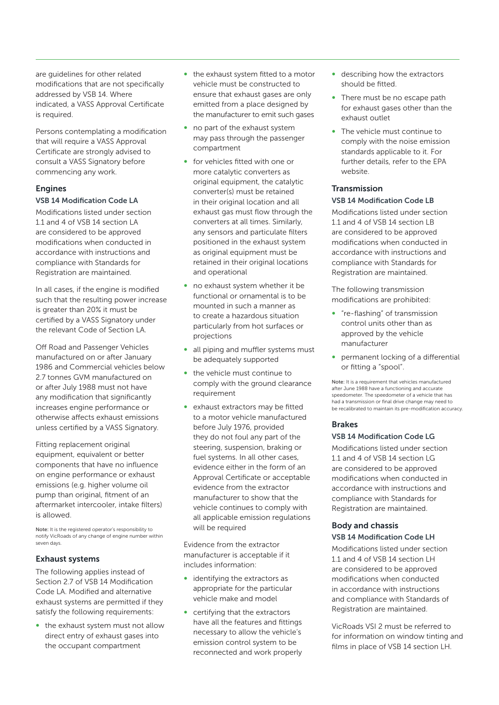are guidelines for other related modifications that are not specifically addressed by VSB 14. Where indicated, a VASS Approval Certificate is required.

Persons contemplating a modification that will require a VASS Approval Certificate are strongly advised to consult a VASS Signatory before commencing any work.

# Engines

## VSB 14 Modification Code LA

Modifications listed under section 1.1 and 4 of VSB 14 section LA are considered to be approved modifications when conducted in accordance with instructions and compliance with Standards for Registration are maintained.

In all cases, if the engine is modified such that the resulting power increase is greater than 20% it must be certified by a VASS Signatory under the relevant Code of Section LA.

Off Road and Passenger Vehicles manufactured on or after January 1986 and Commercial vehicles below 2.7 tonnes GVM manufactured on or after July 1988 must not have any modification that significantly increases engine performance or otherwise affects exhaust emissions unless certified by a VASS Signatory.

Fitting replacement original equipment, equivalent or better components that have no influence on engine performance or exhaust emissions (e.g. higher volume oil pump than original, fitment of an aftermarket intercooler, intake filters) is allowed.

Note: It is the registered operator's responsibility to notify VicRoads of any change of engine number within seven days.

## Exhaust systems

The following applies instead of Section 2.7 of VSB 14 Modification Code LA. Modified and alternative exhaust systems are permitted if they satisfy the following requirements:

● the exhaust system must not allow direct entry of exhaust gases into the occupant compartment

- ∞ the exhaust system fitted to a motor vehicle must be constructed to ensure that exhaust gases are only emitted from a place designed by the manufacturer to emit such gases
- no part of the exhaust system may pass through the passenger compartment
- for vehicles fitted with one or more catalytic converters as original equipment, the catalytic converter(s) must be retained in their original location and all exhaust gas must flow through the converters at all times. Similarly, any sensors and particulate filters positioned in the exhaust system as original equipment must be retained in their original locations and operational
- no exhaust system whether it be functional or ornamental is to be mounted in such a manner as to create a hazardous situation particularly from hot surfaces or projections
- all piping and muffler systems must be adequately supported
- the vehicle must continue to comply with the ground clearance requirement
- exhaust extractors may be fitted to a motor vehicle manufactured before July 1976, provided they do not foul any part of the steering, suspension, braking or fuel systems. In all other cases, evidence either in the form of an Approval Certificate or acceptable evidence from the extractor manufacturer to show that the vehicle continues to comply with all applicable emission regulations will be required

Evidence from the extractor manufacturer is acceptable if it includes information:

- identifying the extractors as appropriate for the particular vehicle make and model
- certifying that the extractors have all the features and fittings necessary to allow the vehicle's emission control system to be reconnected and work properly
- describing how the extractors should be fitted.
- ∞ There must be no escape path for exhaust gases other than the exhaust outlet
- The vehicle must continue to comply with the noise emission standards applicable to it. For further details, refer to the EPA website.

# Transmission

## VSB 14 Modification Code LB

Modifications listed under section 1.1 and 4 of VSB 14 section LB are considered to be approved modifications when conducted in accordance with instructions and compliance with Standards for Registration are maintained.

The following transmission modifications are prohibited:

- ∞ "re-flashing" of transmission control units other than as approved by the vehicle manufacturer
- permanent locking of a differential or fitting a "spool".

Note: It is a requirement that vehicles manufactured after June 1988 have a functioning and accurate speedometer. The speedometer of a vehicle that has had a transmission or final drive change may need to be recalibrated to maintain its pre-modification accuracy.

## Brakes

## VSB 14 Modification Code LG

Modifications listed under section 1.1 and 4 of VSB 14 section LG are considered to be approved modifications when conducted in accordance with instructions and compliance with Standards for Registration are maintained.

#### Body and chassis VSB 14 Modification Code LH

Modifications listed under section 1.1 and 4 of VSB 14 section LH are considered to be approved modifications when conducted in accordance with instructions and compliance with Standards of Registration are maintained.

VicRoads VSI 2 must be referred to for information on window tinting and films in place of VSB 14 section LH.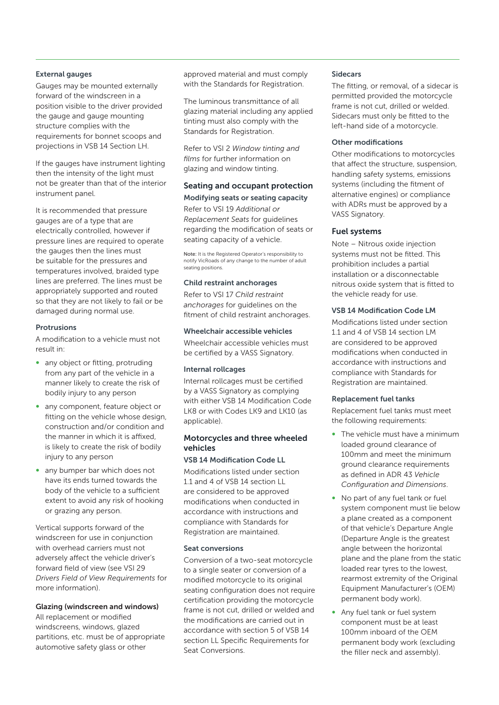## External gauges

Gauges may be mounted externally forward of the windscreen in a position visible to the driver provided the gauge and gauge mounting structure complies with the requirements for bonnet scoops and projections in VSB 14 Section LH.

If the gauges have instrument lighting then the intensity of the light must not be greater than that of the interior instrument panel.

It is recommended that pressure gauges are of a type that are electrically controlled, however if pressure lines are required to operate the gauges then the lines must be suitable for the pressures and temperatures involved, braided type lines are preferred. The lines must be appropriately supported and routed so that they are not likely to fail or be damaged during normal use.

## Protrusions

A modification to a vehicle must not result in:

- any object or fitting, protruding from any part of the vehicle in a manner likely to create the risk of bodily injury to any person
- ∞ any component, feature object or fitting on the vehicle whose design, construction and/or condition and the manner in which it is affixed, is likely to create the risk of bodily injury to any person
- ∞ any bumper bar which does not have its ends turned towards the body of the vehicle to a sufficient extent to avoid any risk of hooking or grazing any person.

Vertical supports forward of the windscreen for use in conjunction with overhead carriers must not adversely affect the vehicle driver's forward field of view (see VSI 29 *Drivers Field of View Requirements* for more information).

#### Glazing (windscreen and windows)

All replacement or modified windscreens, windows, glazed partitions, etc. must be of appropriate automotive safety glass or other

approved material and must comply with the Standards for Registration.

The luminous transmittance of all glazing material including any applied tinting must also comply with the Standards for Registration.

Refer to VSI 2 *Window tinting and films* for further information on glazing and window tinting.

## Seating and occupant protection Modifying seats or seating capacity

Refer to VSI 19 *Additional or Replacement Seats* for guidelines regarding the modification of seats or seating capacity of a vehicle.

Note: It is the Registered Operator's responsibility to notify VicRoads of any change to the number of adult seating positions.

#### Child restraint anchorages

Refer to VSI 17 *Child restraint anchorages* for guidelines on the fitment of child restraint anchorages.

Wheelchair accessible vehicles Wheelchair accessible vehicles must be certified by a VASS Signatory.

#### Internal rollcages

Internal rollcages must be certified by a VASS Signatory as complying with either VSB 14 Modification Code LK8 or with Codes LK9 and LK10 (as applicable).

## Motorcycles and three wheeled vehicles

## VSB 14 Modification Code LL

Modifications listed under section 1.1 and 4 of VSB 14 section LL are considered to be approved modifications when conducted in accordance with instructions and compliance with Standards for Registration are maintained.

#### Seat conversions

Conversion of a two-seat motorcycle to a single seater or conversion of a modified motorcycle to its original seating configuration does not require certification providing the motorcycle frame is not cut, drilled or welded and the modifications are carried out in accordance with section 5 of VSB 14 section LL Specific Requirements for Seat Conversions.

#### **Sidecare**

The fitting, or removal, of a sidecar is permitted provided the motorcycle frame is not cut, drilled or welded. Sidecars must only be fitted to the left-hand side of a motorcycle.

## Other modifications

Other modifications to motorcycles that affect the structure, suspension, handling safety systems, emissions systems (including the fitment of alternative engines) or compliance with ADRs must be approved by a VASS Signatory.

## Fuel systems

Note – Nitrous oxide injection systems must not be fitted. This prohibition includes a partial installation or a disconnectable nitrous oxide system that is fitted to the vehicle ready for use.

## VSB 14 Modification Code LM

Modifications listed under section 1.1 and 4 of VSB 14 section LM are considered to be approved modifications when conducted in accordance with instructions and compliance with Standards for Registration are maintained.

#### Replacement fuel tanks

Replacement fuel tanks must meet the following requirements:

- The vehicle must have a minimum loaded ground clearance of 100mm and meet the minimum ground clearance requirements as defined in ADR 43 *Vehicle Configuration and Dimensions*.
- No part of any fuel tank or fuel system component must lie below a plane created as a component of that vehicle's Departure Angle (Departure Angle is the greatest angle between the horizontal plane and the plane from the static loaded rear tyres to the lowest, rearmost extremity of the Original Equipment Manufacturer's (OEM) permanent body work).
- Any fuel tank or fuel system component must be at least 100mm inboard of the OEM permanent body work (excluding the filler neck and assembly).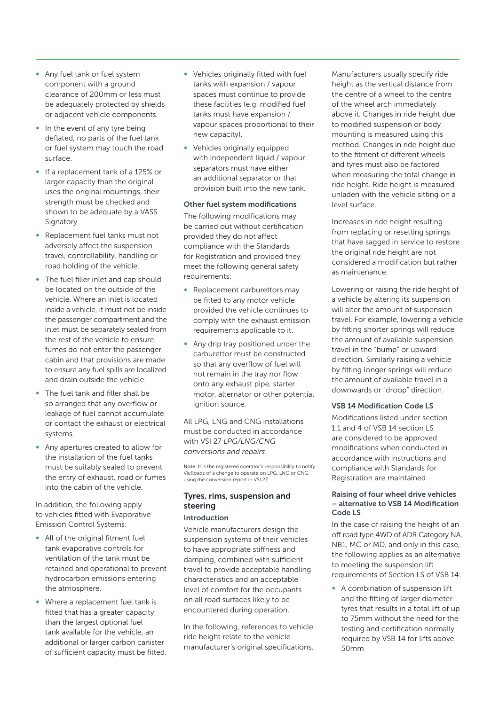- Any fuel tank or fuel system component with a ground clearance of 200mm or less must be adequately protected by shields or adjacent vehicle components.
- In the event of any tyre being deflated, no parts of the fuel tank or fuel system may touch the road surface.
- ∞ If a replacement tank of a 125% or larger capacity than the original uses the original mountings, their strength must be checked and shown to be adequate by a VASS Signatory.
- ∞ Replacement fuel tanks must not adversely affect the suspension travel, controllability, handling or road holding of the vehicle.
- ∞ The fuel filler inlet and cap should be located on the outside of the vehicle. Where an inlet is located inside a vehicle, it must not be inside the passenger compartment and the inlet must be separately sealed from the rest of the vehicle to ensure fumes do not enter the passenger cabin and that provisions are made to ensure any fuel spills are localized and drain outside the vehicle.
- ∞ The fuel tank and filler shall be so arranged that any overflow or leakage of fuel cannot accumulate or contact the exhaust or electrical systems.
- Any apertures created to allow for the installation of the fuel tanks must be suitably sealed to prevent the entry of exhaust, road or fumes into the cabin of the vehicle.

In addition, the following apply to vehicles fitted with Evaporative Emission Control Systems:

- All of the original fitment fuel tank evaporative controls for ventilation of the tank must be retained and operational to prevent hydrocarbon emissions entering the atmosphere.
- ∞ Where a replacement fuel tank is fitted that has a greater capacity than the largest optional fuel tank available for the vehicle, an additional or larger carbon canister of sufficient capacity must be fitted.
- ∞ Vehicles originally fitted with fuel tanks with expansion / vapour spaces must continue to provide these facilities (e.g. modified fuel tanks must have expansion / vapour spaces proportional to their new capacity).
- Vehicles originally equipped with independent liquid / vapour separators must have either an additional separator or that provision built into the new tank.

#### Other fuel system modifications

The following modifications may be carried out without certification provided they do not affect compliance with the Standards for Registration and provided they meet the following general safety requirements:

- Replacement carburettors may be fitted to any motor vehicle provided the vehicle continues to comply with the exhaust emission requirements applicable to it.
- ∞ Any drip tray positioned under the carburettor must be constructed so that any overflow of fuel will not remain in the tray nor flow onto any exhaust pipe, starter motor, alternator or other potential ignition source.

All LPG, LNG and CNG installations must be conducted in accordance with VSI 27 *LPG/LNG/CNG conversions and repairs*.

Note: It is the registered operator's responsibility to notify VicRoads of a change to operate on LPG, LNG or CNG using the conversion report in VSI 27.

## Tyres, rims, suspension and steering

## Introduction

Vehicle manufacturers design the suspension systems of their vehicles to have appropriate stiffness and damping, combined with sufficient travel to provide acceptable handling characteristics and an acceptable level of comfort for the occupants on all road surfaces likely to be encountered during operation.

In the following, references to vehicle ride height relate to the vehicle manufacturer's original specifications.

Manufacturers usually specify ride height as the vertical distance from the centre of a wheel to the centre of the wheel arch immediately above it. Changes in ride height due to modified suspension or body mounting is measured using this method. Changes in ride height due to the fitment of different wheels and tyres must also be factored when measuring the total change in ride height. Ride height is measured unladen with the vehicle sitting on a level surface.

Increases in ride height resulting from replacing or resetting springs that have sagged in service to restore the original ride height are not considered a modification but rather as maintenance.

Lowering or raising the ride height of a vehicle by altering its suspension will alter the amount of suspension travel. For example, lowering a vehicle by fitting shorter springs will reduce the amount of available suspension travel in the "bump" or upward direction. Similarly raising a vehicle by fitting longer springs will reduce the amount of available travel in a downwards or "droop" direction.

#### VSB 14 Modification Code LS

Modifications listed under section 1.1 and 4 of VSB 14 section LS are considered to be approved modifications when conducted in accordance with instructions and compliance with Standards for Registration are maintained.

#### Raising of four wheel drive vehicles – alternative to VSB 14 Modification Code LS

In the case of raising the height of an off road type 4WD of ADR Category NA, NB1, MC or MD, and only in this case, the following applies as an alternative to meeting the suspension lift requirements of Section LS of VSB 14:

● A combination of suspension lift and the fitting of larger diameter tyres that results in a total lift of up to 75mm without the need for the testing and certification normally required by VSB 14 for lifts above 50mm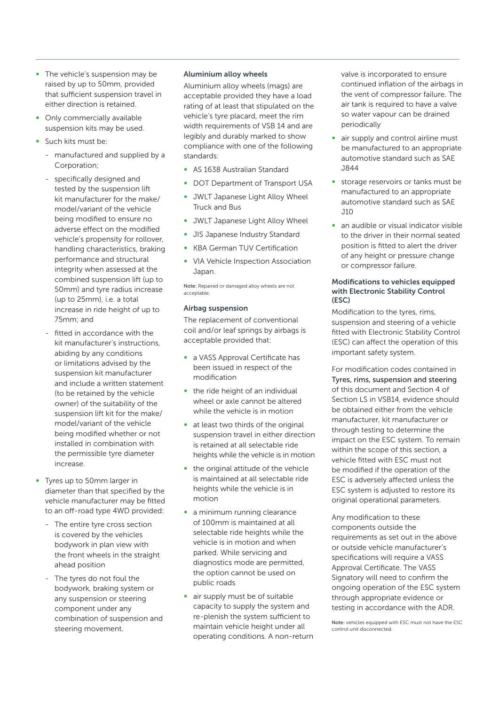- ∞ The vehicle's suspension may be raised by up to 50mm, provided that sufficient suspension travel in either direction is retained.
- Only commercially available suspension kits may be used.
- ∞ Such kits must be:
	- manufactured and supplied by a Corporation;
	- specifically designed and tested by the suspension lift kit manufacturer for the make/ model/variant of the vehicle being modified to ensure no adverse effect on the modified vehicle's propensity for rollover, handling characteristics, braking performance and structural integrity when assessed at the combined suspension lift (up to 50mm) and tyre radius increase (up to 25mm), i.e. a total increase in ride height of up to 75mm; and
	- fitted in accordance with the kit manufacturer's instructions, abiding by any conditions or limitations advised by the suspension kit manufacturer and include a written statement (to be retained by the vehicle owner) of the suitability of the suspension lift kit for the make/ model/variant of the vehicle being modified whether or not installed in combination with the permissible tyre diameter increase.
- ∞ Tyres up to 50mm larger in diameter than that specified by the vehicle manufacturer may be fitted to an off-road type 4WD provided:
	- The entire tyre cross section is covered by the vehicles bodywork in plan view with the front wheels in the straight ahead position
	- The tyres do not foul the bodywork, braking system or any suspension or steering component under any combination of suspension and steering movement.

## Aluminium alloy wheels

Aluminium alloy wheels (mags) are acceptable provided they have a load rating of at least that stipulated on the vehicle's tyre placard, meet the rim width requirements of VSB 14 and are legibly and durably marked to show compliance with one of the following standards:

- ∞ AS 1638 Australian Standard
- DOT Department of Transport USA
- ∞ JWLT Japanese Light Alloy Wheel Truck and Bus
- JWLT Japanese Light Alloy Wheel
- ∞ JIS Japanese Industry Standard
- KBA German TUV Certification
- ∞ VIA Vehicle Inspection Association Japan.

Note: Repaired or damaged alloy wheels are not acceptable.

## Airbag suspension

The replacement of conventional coil and/or leaf springs by airbags is acceptable provided that:

- a VASS Approval Certificate has been issued in respect of the modification
- ∞ the ride height of an individual wheel or axle cannot be altered while the vehicle is in motion
- at least two thirds of the original suspension travel in either direction is retained at all selectable ride heights while the vehicle is in motion
- the original attitude of the vehicle is maintained at all selectable ride heights while the vehicle is in motion
- a minimum running clearance of 100mm is maintained at all selectable ride heights while the vehicle is in motion and when parked. While servicing and diagnostics mode are permitted, the option cannot be used on public roads
- air supply must be of suitable capacity to supply the system and re-plenish the system sufficient to maintain vehicle height under all operating conditions. A non-return

valve is incorporated to ensure continued inflation of the airbags in the vent of compressor failure. The air tank is required to have a valve so water vapour can be drained periodically

- air supply and control airline must be manufactured to an appropriate automotive standard such as SAE J844
- ∞ storage reservoirs or tanks must be manufactured to an appropriate automotive standard such as SAE  $.11<sub>O</sub>$
- an audible or visual indicator visible to the driver in their normal seated position is fitted to alert the driver of any height or pressure change or compressor failure.

## Modifications to vehicles equipped with Electronic Stability Control (ESC)

Modification to the tyres, rims, suspension and steering of a vehicle fitted with Electronic Stability Control (ESC) can affect the operation of this important safety system.

For modification codes contained in Tyres, rims, suspension and steering of this document and Section 4 of Section LS in VSB14, evidence should be obtained either from the vehicle manufacturer, kit manufacturer or through testing to determine the impact on the ESC system. To remain within the scope of this section, a vehicle fitted with ESC must not be modified if the operation of the ESC is adversely affected unless the ESC system is adjusted to restore its original operational parameters.

Any modification to these components outside the requirements as set out in the above or outside vehicle manufacturer's specifications will require a VASS Approval Certificate. The VASS Signatory will need to confirm the ongoing operation of the ESC system through appropriate evidence or testing in accordance with the ADR.

Note: vehicles equipped with ESC must not have the ESC control unit disconnected.